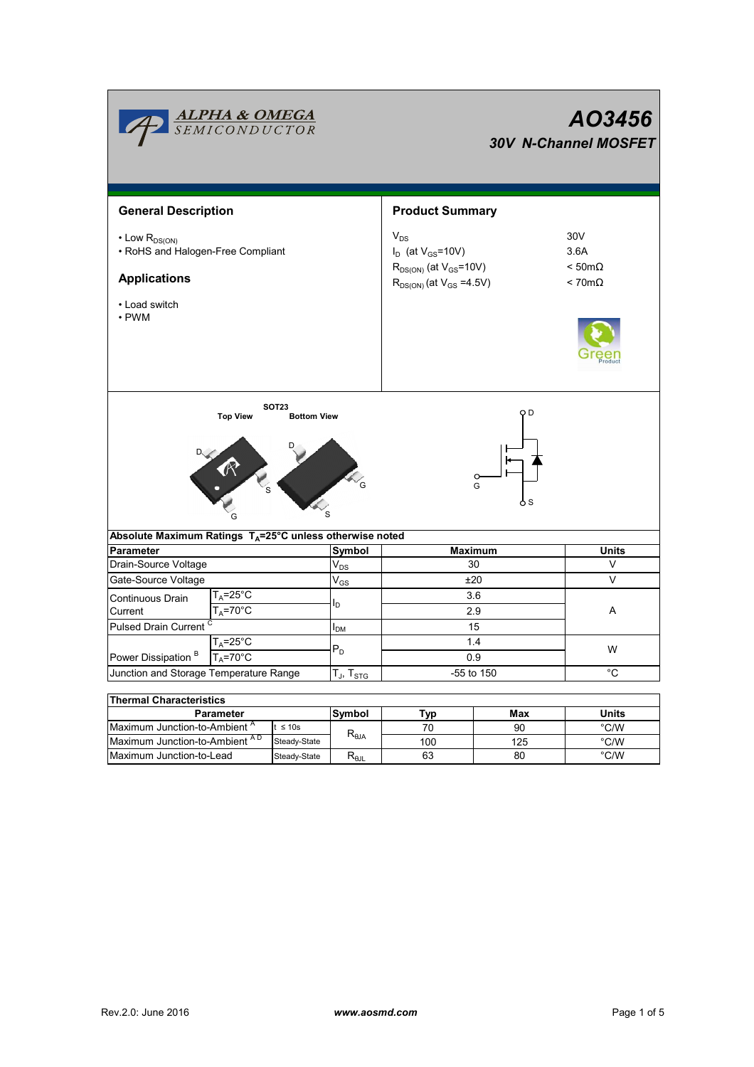|                                                                                                                      | <b>ALPHA &amp; OMEGA</b><br>SEMICONDUCTOR      |                                    |                   | AO3456<br><b>30V N-Channel MOSFET</b>                                                                         |                                                               |               |  |  |  |
|----------------------------------------------------------------------------------------------------------------------|------------------------------------------------|------------------------------------|-------------------|---------------------------------------------------------------------------------------------------------------|---------------------------------------------------------------|---------------|--|--|--|
| <b>General Description</b>                                                                                           |                                                |                                    |                   | <b>Product Summary</b>                                                                                        |                                                               |               |  |  |  |
| $\cdot$ Low $R_{DS(ON)}$<br>• RoHS and Halogen-Free Compliant<br><b>Applications</b><br>• Load switch<br>$\cdot$ PWM |                                                |                                    |                   | $V_{DS}$<br>$I_D$ (at $V_{GS}$ =10V)<br>$R_{DS(ON)}$ (at $V_{GS}$ =10V)<br>$R_{DS(ON)}$ (at $V_{GS} = 4.5V$ ) | 30V<br>3.6A<br>$< 50 \text{m}\Omega$<br>$< 70 \text{m}\Omega$ |               |  |  |  |
|                                                                                                                      | <b>Top View</b>                                | <b>SOT23</b><br><b>Bottom View</b> |                   | ОD<br>G<br>o s                                                                                                |                                                               |               |  |  |  |
| Absolute Maximum Ratings T <sub>A</sub> =25°C unless otherwise noted<br><b>Parameter</b>                             |                                                |                                    | <b>Symbol</b>     | <b>Maximum</b>                                                                                                | <b>Units</b>                                                  |               |  |  |  |
| Drain-Source Voltage                                                                                                 |                                                |                                    | $V_{DS}$          | 30                                                                                                            |                                                               | V             |  |  |  |
| Gate-Source Voltage                                                                                                  |                                                |                                    | $V_{GS}$          | ±20                                                                                                           |                                                               | V             |  |  |  |
| Continuous Drain<br>Current                                                                                          | $T_A = 25$ °C<br>$T_A = 70$ °C                 |                                    | I <sub>D</sub>    | 3.6<br>2.9                                                                                                    |                                                               | Α             |  |  |  |
| Pulsed Drain Current                                                                                                 |                                                |                                    | $I_{DM}$          | 15                                                                                                            |                                                               |               |  |  |  |
| $T_A = 25$ °C                                                                                                        |                                                |                                    |                   | 1.4<br>0.9                                                                                                    |                                                               | W             |  |  |  |
| $T_A = 70^\circ C$<br>Power Dissipation <sup>B</sup>                                                                 |                                                |                                    | $P_D$             |                                                                                                               |                                                               |               |  |  |  |
| Junction and Storage Temperature Range                                                                               |                                                |                                    | $T_J$ , $T_{STG}$ | -55 to 150                                                                                                    |                                                               | $^{\circ}$ C  |  |  |  |
|                                                                                                                      |                                                |                                    |                   |                                                                                                               |                                                               |               |  |  |  |
| <b>Thermal Characteristics</b>                                                                                       | Parameter                                      |                                    |                   |                                                                                                               |                                                               |               |  |  |  |
| Maximum Junction-to-Ambient <sup>A</sup><br>$t \leq 10s$                                                             |                                                | Symbol                             | Typ<br>70         | Max<br>90                                                                                                     | Units<br>$\degree$ C/W                                        |               |  |  |  |
|                                                                                                                      | Maximum Junction-to-Ambient AD<br>Steady-State |                                    | $R_{\theta$ JA    | 100                                                                                                           | 125                                                           | $\degree$ C/W |  |  |  |

Steady-State R<sub>θJL</sub>

Maximum Junction-to-Lead Steady-State R<sub>6JL</sub> 63 80 °C/W

63

80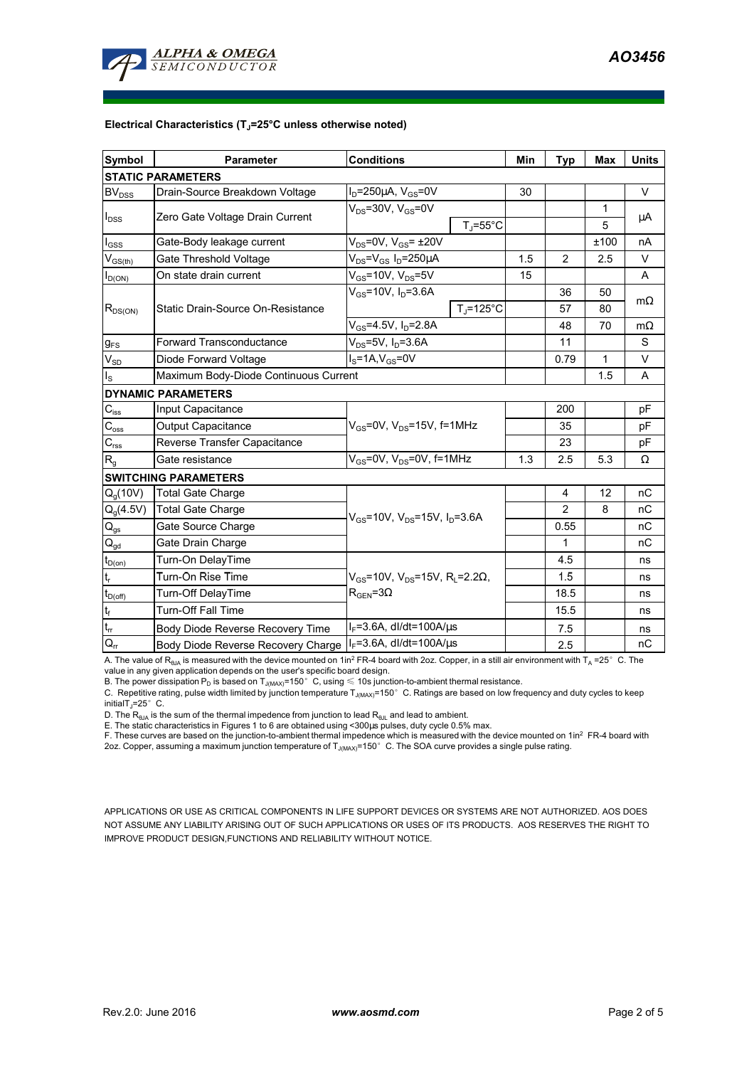

## **Electrical Characteristics (TJ=25°C unless otherwise noted)**

| <b>Symbol</b>                 | <b>Parameter</b>                                                | <b>Conditions</b>                                                                         |                    | Min  | <b>Typ</b>     | <b>Max</b>  | <b>Units</b> |  |  |  |  |  |
|-------------------------------|-----------------------------------------------------------------|-------------------------------------------------------------------------------------------|--------------------|------|----------------|-------------|--------------|--|--|--|--|--|
| <b>STATIC PARAMETERS</b>      |                                                                 |                                                                                           |                    |      |                |             |              |  |  |  |  |  |
| <b>BV</b> <sub>DSS</sub>      | Drain-Source Breakdown Voltage                                  | $ID=250\mu A$ , $VGS=0V$                                                                  |                    | 30   |                |             | $\vee$       |  |  |  |  |  |
| $I_{DSS}$                     | Zero Gate Voltage Drain Current                                 | $V_{DS}$ =30V, $V_{GS}$ =0V                                                               |                    |      |                | 1           | μA           |  |  |  |  |  |
|                               |                                                                 |                                                                                           | $T_{\rm J}$ =55°C  |      |                | 5           |              |  |  |  |  |  |
| $I_{GSS}$                     | Gate-Body leakage current                                       | $V_{DS}$ =0V, $V_{GS}$ = ±20V                                                             |                    |      |                | ±100        | nA           |  |  |  |  |  |
| $V_{GS(th)}$                  | Gate Threshold Voltage                                          | $V_{DS} = V_{GS} I_D = 250 \mu A$                                                         |                    | 1.5  | $\overline{2}$ | 2.5         | $\vee$       |  |  |  |  |  |
| $I_{D(ON)}$                   | On state drain current                                          | $V_{GS}$ =10V, $V_{DS}$ =5V                                                               |                    | 15   |                |             | A            |  |  |  |  |  |
| $R_{DS(ON)}$                  |                                                                 | $V_{GS}$ =10V, $I_D$ =3.6A                                                                |                    |      | 36             | 50          |              |  |  |  |  |  |
|                               | Static Drain-Source On-Resistance                               |                                                                                           | $T_{\rm J}$ =125°C |      | 57             | 80          | $m\Omega$    |  |  |  |  |  |
|                               |                                                                 | $V_{GS} = 4.5V$ , $I_D = 2.8A$                                                            |                    |      | 48             | 70          | $m\Omega$    |  |  |  |  |  |
| <b>g</b> <sub>FS</sub>        | $V_{DS} = 5V$ , $I_D = 3.6A$<br><b>Forward Transconductance</b> |                                                                                           |                    |      | 11             |             | S            |  |  |  |  |  |
| $V_{SD}$                      | $IS=1A, VGS=0V$<br>Diode Forward Voltage                        |                                                                                           |                    |      | 0.79           | $\mathbf 1$ | V            |  |  |  |  |  |
| $I_{\rm S}$                   | Maximum Body-Diode Continuous Current                           |                                                                                           |                    | 1.5  | A              |             |              |  |  |  |  |  |
|                               | <b>DYNAMIC PARAMETERS</b>                                       |                                                                                           |                    |      |                |             |              |  |  |  |  |  |
| $C_{\text{iss}}$              | Input Capacitance                                               |                                                                                           |                    |      | 200            |             | pF           |  |  |  |  |  |
| $C_{\rm oss}$                 | <b>Output Capacitance</b>                                       | $V_{GS}$ =0V, $V_{DS}$ =15V, f=1MHz                                                       |                    |      | 35             |             | pF           |  |  |  |  |  |
| $C_{\rm rss}$                 | Reverse Transfer Capacitance                                    |                                                                                           |                    |      | 23             |             | pF           |  |  |  |  |  |
| $R_{q}$                       | Gate resistance                                                 | $V_{GS}$ =0V, $V_{DS}$ =0V, f=1MHz                                                        |                    | 1.3  | 2.5            | 5.3         | Ω            |  |  |  |  |  |
|                               | <b>SWITCHING PARAMETERS</b>                                     |                                                                                           |                    |      |                |             |              |  |  |  |  |  |
| $Q_q(10V)$                    | <b>Total Gate Charge</b>                                        | $V_{GS}$ =10V, $V_{DS}$ =15V, $I_D$ =3.6A                                                 |                    |      | 4              | 12          | nC           |  |  |  |  |  |
| $Q_q(4.5V)$                   | <b>Total Gate Charge</b>                                        |                                                                                           |                    |      | $\overline{2}$ | 8           | nC           |  |  |  |  |  |
| $Q_{gs}$                      | Gate Source Charge                                              |                                                                                           |                    |      | 0.55           |             | nC           |  |  |  |  |  |
| $\mathsf{Q}_{\mathsf{gd}}$    | Gate Drain Charge                                               |                                                                                           |                    |      | 1              |             | nC           |  |  |  |  |  |
| $t_{D(0n)}$                   | Turn-On DelayTime                                               | $V_{GS}$ =10V, $V_{DS}$ =15V, R <sub>i</sub> =2.2 $\Omega$ ,<br>$\rm R_{GEN}$ =3 $\Omega$ |                    |      | 4.5            |             | ns           |  |  |  |  |  |
| t,                            | Turn-On Rise Time                                               |                                                                                           |                    |      | 1.5            |             | ns           |  |  |  |  |  |
| $t_{D(\text{off})}$           | Turn-Off DelayTime                                              |                                                                                           |                    |      | 18.5           |             | ns           |  |  |  |  |  |
| $\mathfrak{t}_{\mathsf{f}}$   | <b>Turn-Off Fall Time</b>                                       |                                                                                           |                    | 15.5 |                | ns          |              |  |  |  |  |  |
| $\mathfrak{t}_{\mathfrak{m}}$ | Body Diode Reverse Recovery Time                                | $I_F = 3.6A$ , dl/dt=100A/ $\mu$ s                                                        |                    |      | 7.5            |             | ns           |  |  |  |  |  |
| $\mathsf{Q}_{\mathsf{rr}}$    | <b>Body Diode Reverse Recovery Charge</b>                       | $I_F = 3.6A$ , dl/dt=100A/ $\mu$ s                                                        |                    |      | 2.5            |             | nC           |  |  |  |  |  |

A. The value of R<sub>θJA</sub> is measured with the device mounted on 1in<sup>2</sup> FR-4 board with 2oz. Copper, in a still air environment with T<sub>A</sub> =25°C. The

value in any given application depends on the user's specific board design.<br>B. The power dissipation P<sub>D</sub> is based on T<sub>J(MAX)</sub>=150°C, using ≤ 10s junction-to-ambient thermal resistance.

C. Repetitive rating, pulse width limited by junction temperature  $T_{\rm J(MAX)}$ =150°C. Ratings are based on low frequency and duty cycles to keep initialT $_1$ =25°C.

D. The  $R_{AJA}$  is the sum of the thermal impedence from junction to lead  $R_{AJI}$  and lead to ambient.

E. The static characteristics in Figures 1 to 6 are obtained using <300us pulses, duty cycle 0.5% max.

F. These curves are based on the junction-to-ambient thermal impedence which is measured with the device mounted on 1in<sup>2</sup> FR-4 board with 2oz. Copper, assuming a maximum junction temperature of  $T_{J(MAX)}$ =150°C. The SOA curve provides a single pulse rating.

APPLICATIONS OR USE AS CRITICAL COMPONENTS IN LIFE SUPPORT DEVICES OR SYSTEMS ARE NOT AUTHORIZED. AOS DOES NOT ASSUME ANY LIABILITY ARISING OUT OF SUCH APPLICATIONS OR USES OF ITS PRODUCTS. AOS RESERVES THE RIGHT TO IMPROVE PRODUCT DESIGN,FUNCTIONS AND RELIABILITY WITHOUT NOTICE.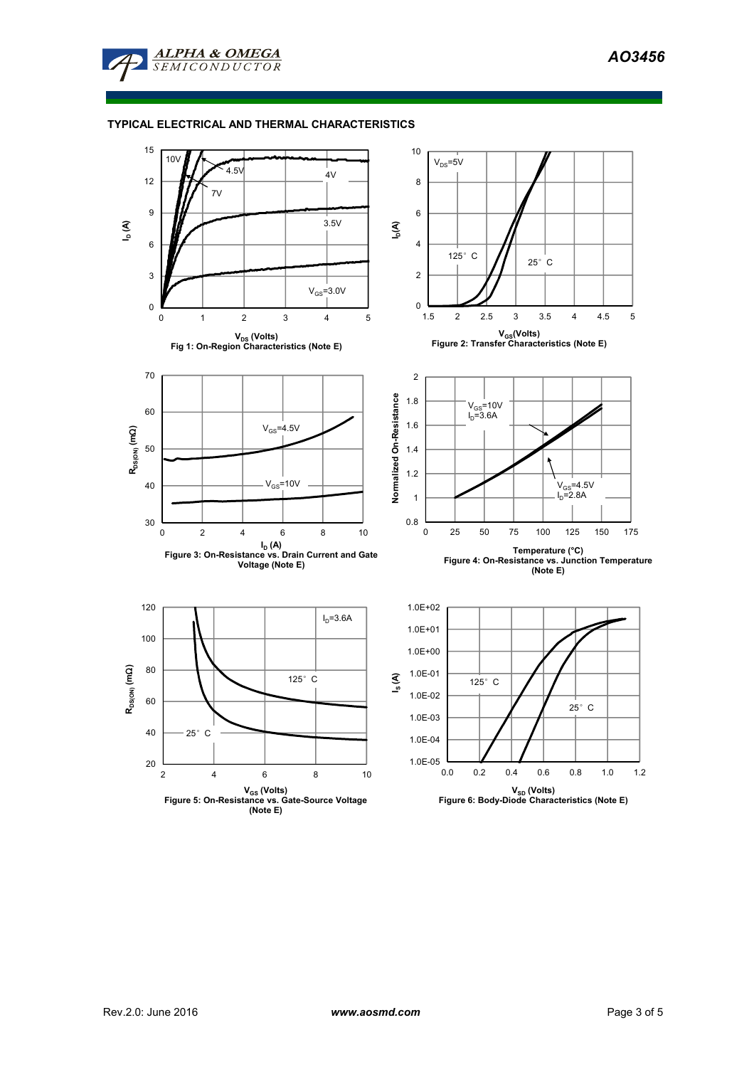

## **TYPICAL ELECTRICAL AND THERMAL CHARACTERISTICS**

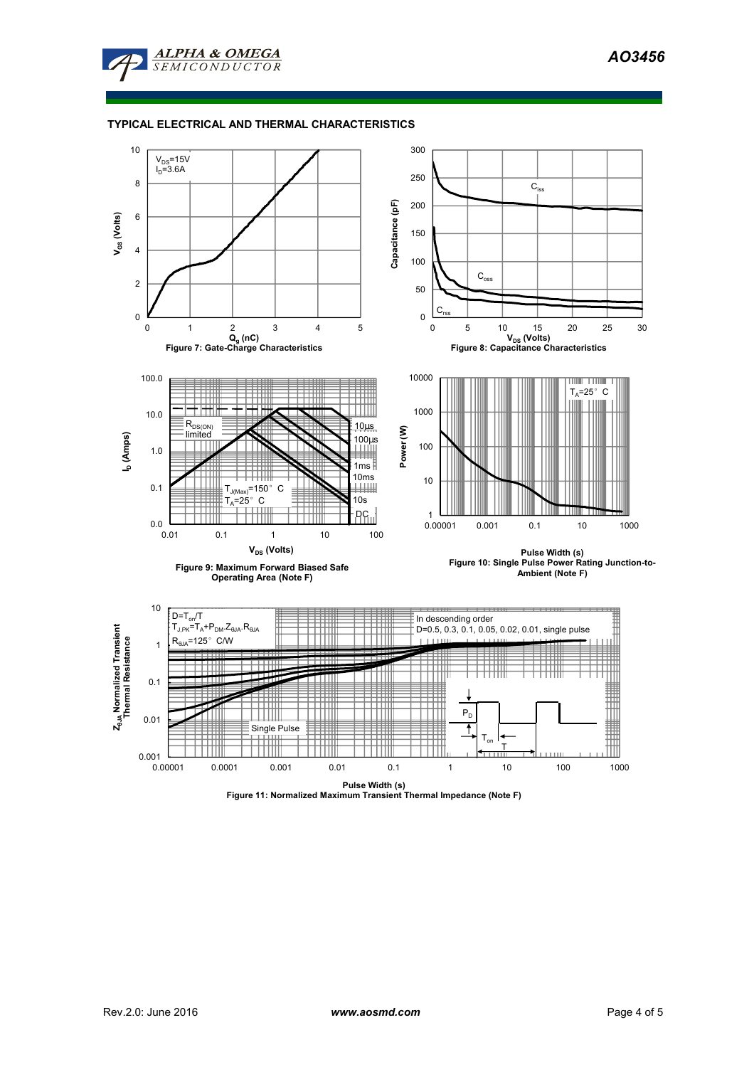

## **TYPICAL ELECTRICAL AND THERMAL CHARACTERISTICS**